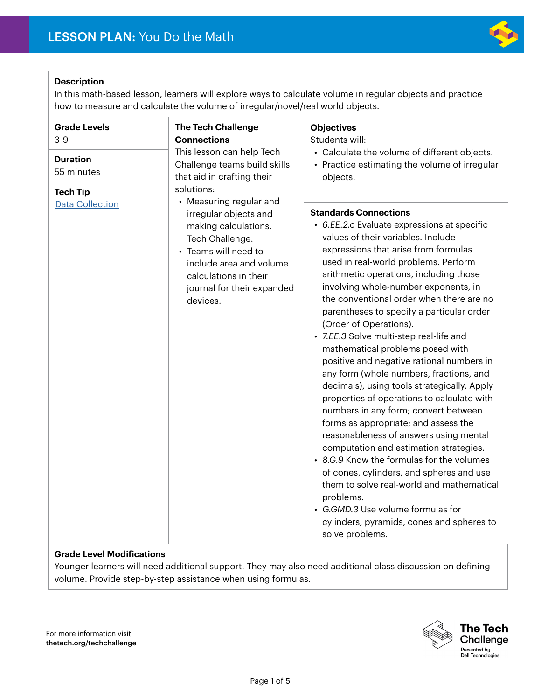

## **Description**

In this math-based lesson, learners will explore ways to calculate volume in regular objects and practice how to measure and calculate the volume of irregular/novel/real world objects.

| <b>Grade Levels</b><br>$3 - 9$            | <b>The Tech Challenge</b><br><b>Connections</b>                                                                                                                                                                                 | <b>Objectives</b><br>Students will:                                                                                                                                                                                                                                                                                                                                                                                                                                                                                                                                                                                                                                                                                                                                                                                                                                                                                                                                                                                                                                                                    |
|-------------------------------------------|---------------------------------------------------------------------------------------------------------------------------------------------------------------------------------------------------------------------------------|--------------------------------------------------------------------------------------------------------------------------------------------------------------------------------------------------------------------------------------------------------------------------------------------------------------------------------------------------------------------------------------------------------------------------------------------------------------------------------------------------------------------------------------------------------------------------------------------------------------------------------------------------------------------------------------------------------------------------------------------------------------------------------------------------------------------------------------------------------------------------------------------------------------------------------------------------------------------------------------------------------------------------------------------------------------------------------------------------------|
| <b>Duration</b><br>55 minutes             | This lesson can help Tech<br>Challenge teams build skills<br>that aid in crafting their                                                                                                                                         | • Calculate the volume of different objects.<br>• Practice estimating the volume of irregular<br>objects.                                                                                                                                                                                                                                                                                                                                                                                                                                                                                                                                                                                                                                                                                                                                                                                                                                                                                                                                                                                              |
| <b>Tech Tip</b><br><b>Data Collection</b> | solutions:<br>• Measuring regular and<br>irregular objects and<br>making calculations.<br>Tech Challenge.<br>• Teams will need to<br>include area and volume<br>calculations in their<br>journal for their expanded<br>devices. | <b>Standards Connections</b><br>• 6.EE.2.c Evaluate expressions at specific<br>values of their variables. Include<br>expressions that arise from formulas<br>used in real-world problems. Perform<br>arithmetic operations, including those<br>involving whole-number exponents, in<br>the conventional order when there are no<br>parentheses to specify a particular order<br>(Order of Operations).<br>· 7.EE.3 Solve multi-step real-life and<br>mathematical problems posed with<br>positive and negative rational numbers in<br>any form (whole numbers, fractions, and<br>decimals), using tools strategically. Apply<br>properties of operations to calculate with<br>numbers in any form; convert between<br>forms as appropriate; and assess the<br>reasonableness of answers using mental<br>computation and estimation strategies.<br>• 8.G.9 Know the formulas for the volumes<br>of cones, cylinders, and spheres and use<br>them to solve real-world and mathematical<br>problems.<br>• G.GMD.3 Use volume formulas for<br>cylinders, pyramids, cones and spheres to<br>solve problems. |

### **Grade Level Modifications**

Younger learners will need additional support. They may also need additional class discussion on defining volume. Provide step-by-step assistance when using formulas.

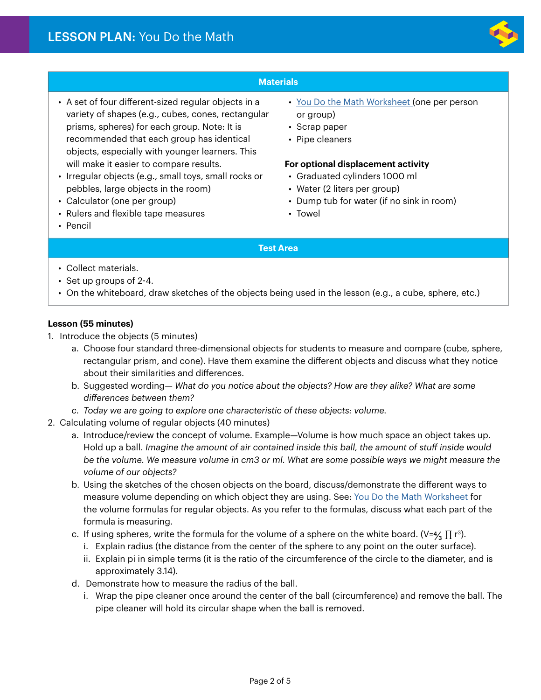

## **Materials**

- A set of four different-sized regular objects in a variety of shapes (e.g., cubes, cones, rectangular prisms, spheres) for each group. Note: It is recommended that each group has identical objects, especially with younger learners. This will make it easier to compare results.
- Irregular objects (e.g., small toys, small rocks or pebbles, large objects in the room)
- Calculator (one per group)
- Rulers and flexible tape measures
- Pencil
- [You Do the Math Worksheet](#page-3-0) (one per person or group)
- Scrap paper
- Pipe cleaners

#### **For optional displacement activity**

- Graduated cylinders 1000 ml
- Water (2 liters per group)
- Dump tub for water (if no sink in room)
- Towel

### **Test Area**

- Collect materials.
- Set up groups of 2-4.
- On the whiteboard, draw sketches of the objects being used in the lesson (e.g., a cube, sphere, etc.)

### **Lesson (55 minutes)**

- 1. Introduce the objects (5 minutes)
	- a. Choose four standard three-dimensional objects for students to measure and compare (cube, sphere, rectangular prism, and cone). Have them examine the different objects and discuss what they notice about their similarities and differences.
	- b. Suggested wording— *What do you notice about the objects? How are they alike? What are some differences between them?*
	- *c. Today we are going to explore one characteristic of these objects: volume.*
- 2. Calculating volume of regular objects (40 minutes)
	- a. Introduce/review the concept of volume. Example—Volume is how much space an object takes up. Hold up a ball. *Imagine the amount of air contained inside this ball, the amount of stuff inside would be the volume. We measure volume in cm3 or ml. What are some possible ways we might measure the volume of our objects?*
	- b. Using the sketches of the chosen objects on the board, discuss/demonstrate the different ways to measure volume depending on which object they are using. See: [You Do the Math Worksheet](#page-3-0) for the volume formulas for regular objects. As you refer to the formulas, discuss what each part of the formula is measuring.
	- c. If using spheres, write the formula for the volume of a sphere on the white board. (V=4/3  $\prod$  r<sup>3</sup>).
		- i. Explain radius (the distance from the center of the sphere to any point on the outer surface).
		- ii. Explain pi in simple terms (it is the ratio of the circumference of the circle to the diameter, and is approximately 3.14).
	- d. Demonstrate how to measure the radius of the ball.
		- i. Wrap the pipe cleaner once around the center of the ball (circumference) and remove the ball. The pipe cleaner will hold its circular shape when the ball is removed.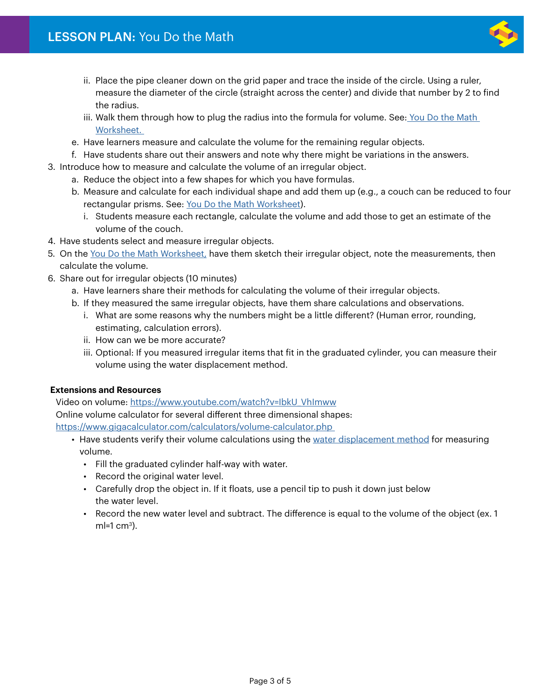

- ii. Place the pipe cleaner down on the grid paper and trace the inside of the circle. Using a ruler, measure the diameter of the circle (straight across the center) and divide that number by 2 to find the radius.
- iii. Walk them through how to plug the radius into the formula for volume. See: [You Do the Math](#page-3-0)  [Worksheet.](#page-3-0)
- e. Have learners measure and calculate the volume for the remaining regular objects.
- f. Have students share out their answers and note why there might be variations in the answers.
- 3. Introduce how to measure and calculate the volume of an irregular object.
	- a. Reduce the object into a few shapes for which you have formulas.
	- b. Measure and calculate for each individual shape and add them up (e.g., a couch can be reduced to four rectangular prisms. See: [You Do the Math Worksheet](#page-3-0)).
		- i. Students measure each rectangle, calculate the volume and add those to get an estimate of the volume of the couch.
- 4. Have students select and measure irregular objects.
- 5. On the [You Do the Math Worksheet,](#page-3-0) have them sketch their irregular object, note the measurements, then calculate the volume.
- 6. Share out for irregular objects (10 minutes)
	- a. Have learners share their methods for calculating the volume of their irregular objects.
	- b. If they measured the same irregular objects, have them share calculations and observations.
		- i. What are some reasons why the numbers might be a little different? (Human error, rounding, estimating, calculation errors).
		- ii. How can we be more accurate?
		- iii. Optional: If you measured irregular items that fit in the graduated cylinder, you can measure their volume using the water displacement method.

## **Extensions and Resources**

Video on volume: [https://www.youtube.com/watch?v=IbkU\\_VhImww](https://www.youtube.com/watch?v=IbkU_VhImww
)

Online volume calculator for several different three dimensional shapes:

[https://www.gigacalculator.com/calculators/volume-calculator.php](https://www.gigacalculator.com/calculators/volume-calculator.php ) 

- Have students verify their volume calculations using the [water displacement method](https://sciencestruck.com/how-to-find-volume-with-water-displacement-method) for measuring volume.
	- Fill the graduated cylinder half-way with water.
	- Record the original water level.
	- Carefully drop the object in. If it floats, use a pencil tip to push it down just below the water level.
	- Record the new water level and subtract. The difference is equal to the volume of the object (ex. 1 ml=1  $cm<sup>3</sup>$ ).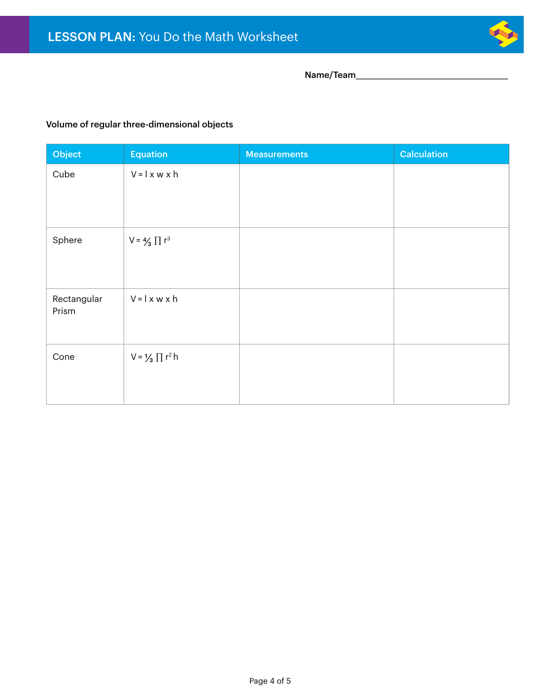

Name/Team\_\_\_\_\_\_\_\_\_\_\_\_\_\_\_\_\_\_\_\_\_\_\_\_\_\_\_\_\_\_\_\_\_\_\_\_\_\_\_\_\_\_

# <span id="page-3-0"></span>Volume of regular three-dimensional objects

| Object               | <b>Equation</b>               | <b>Measurements</b> | <b>Calculation</b> |
|----------------------|-------------------------------|---------------------|--------------------|
| Cube                 | $V = I \times w \times h$     |                     |                    |
|                      |                               |                     |                    |
| Sphere               | $V = 4/3 \prod r^3$           |                     |                    |
| Rectangular<br>Prism | $V = I \times w \times h$     |                     |                    |
| Cone                 | $V = \frac{1}{3} \prod r^2 h$ |                     |                    |